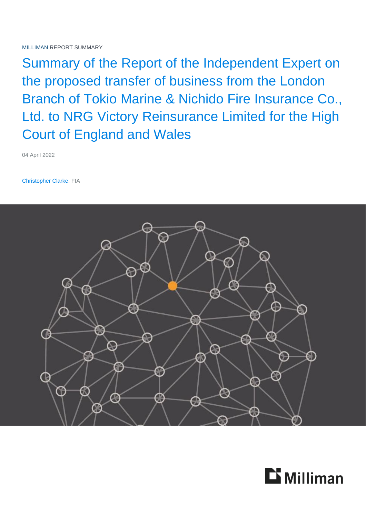Summary of the Report of the Independent Expert on the proposed transfer of business from the London Branch of Tokio Marine & Nichido Fire Insurance Co., Ltd. to NRG Victory Reinsurance Limited for the High Court of England and Wales

04 April 2022

Christopher Clarke, FIA



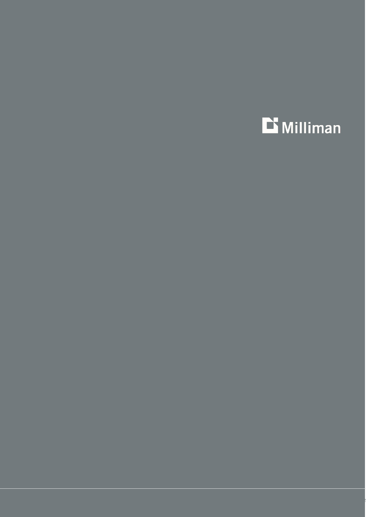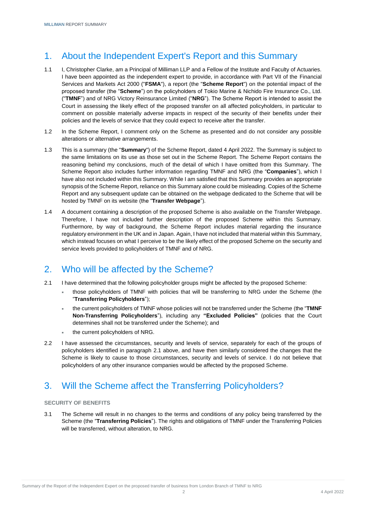# 1. About the Independent Expert's Report and this Summary

- 1.1 I, Christopher Clarke, am a Principal of Milliman LLP and a Fellow of the Institute and Faculty of Actuaries. I have been appointed as the independent expert to provide, in accordance with Part VII of the Financial Services and Markets Act 2000 ("**FSMA**"), a report (the "**Scheme Report**") on the potential impact of the proposed transfer (the "**Scheme**") on the policyholders of Tokio Marine & Nichido Fire Insurance Co., Ltd. ("**TMNF**") and of NRG Victory Reinsurance Limited ("**NRG**"). The Scheme Report is intended to assist the Court in assessing the likely effect of the proposed transfer on all affected policyholders, in particular to comment on possible materially adverse impacts in respect of the security of their benefits under their policies and the levels of service that they could expect to receive after the transfer.
- 1.2 In the Scheme Report, I comment only on the Scheme as presented and do not consider any possible alterations or alternative arrangements.
- 1.3 This is a summary (the "**Summary**") of the Scheme Report, dated 4 April 2022. The Summary is subject to the same limitations on its use as those set out in the Scheme Report. The Scheme Report contains the reasoning behind my conclusions, much of the detail of which I have omitted from this Summary. The Scheme Report also includes further information regarding TMNF and NRG (the "**Companies**"), which I have also not included within this Summary. While I am satisfied that this Summary provides an appropriate synopsis of the Scheme Report, reliance on this Summary alone could be misleading. Copies of the Scheme Report and any subsequent update can be obtained on the webpage dedicated to the Scheme that will be hosted by TMNF on its website (the "**Transfer Webpage**").
- 1.4 A document containing a description of the proposed Scheme is also available on the Transfer Webpage. Therefore, I have not included further description of the proposed Scheme within this Summary. Furthermore, by way of background, the Scheme Report includes material regarding the insurance regulatory environment in the UK and in Japan. Again, I have not included that material within this Summary, which instead focuses on what I perceive to be the likely effect of the proposed Scheme on the security and service levels provided to policyholders of TMNF and of NRG.

# 2. Who will be affected by the Scheme?

- <span id="page-2-0"></span>2.1 I have determined that the following policyholder groups might be affected by the proposed Scheme:
	- those policyholders of TMNF with policies that will be transferring to NRG under the Scheme (the "**Transferring Policyholders**");
	- the current policyholders of TMNF whose policies will not be transferred under the Scheme (the "**TMNF Non-Transferring Policyholders**"), including any **"Excluded Policies"** (policies that the Court determines shall not be transferred under the Scheme); and
	- the current policyholders of NRG.
- 2.2 I have assessed the circumstances, security and levels of service, separately for each of the groups of policyholders identified in paragraph [2.1](#page-2-0) above, and have then similarly considered the changes that the Scheme is likely to cause to those circumstances, security and levels of service. I do not believe that policyholders of any other insurance companies would be affected by the proposed Scheme.

# 3. Will the Scheme affect the Transferring Policyholders?

#### **SECURITY OF BENEFITS**

3.1 The Scheme will result in no changes to the terms and conditions of any policy being transferred by the Scheme (the "**Transferring Policies**"). The rights and obligations of TMNF under the Transferring Policies will be transferred, without alteration, to NRG.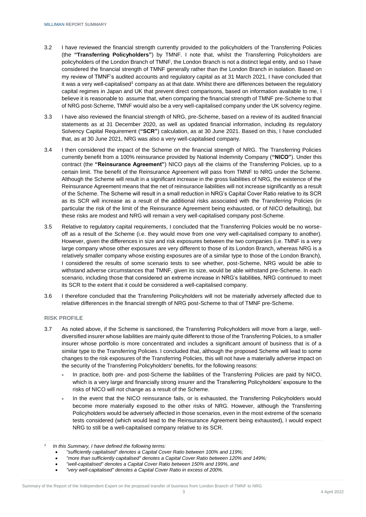- 3.2 I have reviewed the financial strength currently provided to the policyholders of the Transferring Policies (the **"Transferring Policyholders"**) by TMNF. I note that, whilst the Transferring Policyholders are policyholders of the London Branch of TMNF, the London Branch is not a distinct legal entity, and so I have considered the financial strength of TMNF generally rather than the London Branch in isolation. Based on my review of TMNF's audited accounts and regulatory capital as at 31 March 2021, I have concluded that it was a very well-capitalised<sup>1</sup> company as at that date. Whilst there are differences between the regulatory capital regimes in Japan and UK that prevent direct comparisons, based on information available to me, I believe it is reasonable to assume that, when comparing the financial strength of TMNF pre-Scheme to that of NRG post-Scheme, TMNF would also be a very well-capitalised company under the UK solvency regime.
- 3.3 I have also reviewed the financial strength of NRG, pre-Scheme, based on a review of its audited financial statements as at 31 December 2020, as well as updated financial information, including its regulatory Solvency Capital Requirement (**"SCR"**) calculation, as at 30 June 2021. Based on this, I have concluded that, as at 30 June 2021, NRG was also a very well-capitalised company.
- 3.4 I then considered the impact of the Scheme on the financial strength of NRG. The Transferring Policies currently benefit from a 100% reinsurance provided by National Indemnity Company (**"NICO"**). Under this contract (the **"Reinsurance Agreement"**) NICO pays all the claims of the Transferring Policies, up to a certain limit. The benefit of the Reinsurance Agreement will pass from TMNF to NRG under the Scheme. Although the Scheme will result in a significant increase in the gross liabilities of NRG, the existence of the Reinsurance Agreement means that the net of reinsurance liabilities will not increase significantly as a result of the Scheme. The Scheme will result in a small reduction in NRG's Capital Cover Ratio relative to its SCR as its SCR will increase as a result of the additional risks associated with the Transferring Policies (in particular the risk of the limit of the Reinsurance Agreement being exhausted, or of NICO defaulting), but these risks are modest and NRG will remain a very well-capitalised company post-Scheme.
- 3.5 Relative to regulatory capital requirements, I concluded that the Transferring Policies would be no worseoff as a result of the Scheme (i.e. they would move from one very well-capitalised company to another). However, given the differences in size and risk exposures between the two companies (i.e. TMNF is a very large company whose other exposures are very different to those of its London Branch, whereas NRG is a relatively smaller company whose existing exposures are of a similar type to those of the London Branch), I considered the results of some scenario tests to see whether, post-Scheme, NRG would be able to withstand adverse circumstances that TMNF, given its size, would be able withstand pre-Scheme. In each scenario, including those that considered an extreme increase in NRG's liabilities, NRG continued to meet its SCR to the extent that it could be considered a well-capitalised company.
- 3.6 I therefore concluded that the Transferring Policyholders will not be materially adversely affected due to relative differences in the financial strength of NRG post-Scheme to that of TMNF pre-Scheme.

#### **RISK PROFILE**

- 3.7 As noted above, if the Scheme is sanctioned, the Transferring Policyholders will move from a large, welldiversified insurer whose liabilities are mainly quite different to those of the Transferring Policies, to a smaller insurer whose portfolio is more concentrated and includes a significant amount of business that is of a similar type to the Transferring Policies. I concluded that, although the proposed Scheme will lead to some changes to the risk exposures of the Transferring Policies, this will not have a materially adverse impact on the security of the Transferring Policyholders' benefits, for the following reasons:
	- In practice, both pre- and post-Scheme the liabilities of the Transferring Policies are paid by NICO, which is a very large and financially strong insurer and the Transferring Policyholders' exposure to the risks of NICO will not change as a result of the Scheme.
	- In the event that the NICO reinsurance fails, or is exhausted, the Transferring Policyholders would become more materially exposed to the other risks of NRG. However, although the Transferring Policyholders would be adversely affected in those scenarios, even in the most extreme of the scenario tests considered (which would lead to the Reinsurance Agreement being exhausted), I would expect NRG to still be a well-capitalised company relative to its SCR.

*"more than sufficiently capitalised" denotes a Capital Cover Ratio between 120% and 149%;*

*"very well-capitalised" denotes a Capital Cover Ratio in excess of 200%.*

*<sup>1</sup> In this Summary, I have defined the following terms:*

*"sufficiently capitalised" denotes a Capital Cover Ratio between 100% and 119%;*

*"well-capitalised" denotes a Capital Cover Ratio between 150% and 199%, and*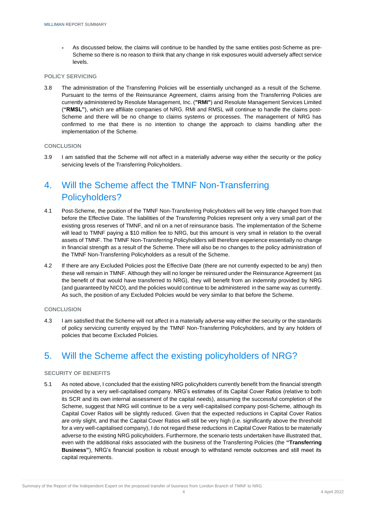As discussed below, the claims will continue to be handled by the same entities post-Scheme as pre-Scheme so there is no reason to think that any change in risk exposures would adversely affect service levels.

#### **POLICY SERVICING**

3.8 The administration of the Transferring Policies will be essentially unchanged as a result of the Scheme. Pursuant to the terms of the Reinsurance Agreement, claims arising from the Transferring Policies are currently administered by Resolute Management, Inc. (**"RMI"**) and Resolute Management Services Limited (**"RMSL"**), which are affiliate companies of NRG. RMI and RMSL will continue to handle the claims post-Scheme and there will be no change to claims systems or processes. The management of NRG has confirmed to me that there is no intention to change the approach to claims handling after the implementation of the Scheme.

#### **CONCLUSION**

3.9 I am satisfied that the Scheme will not affect in a materially adverse way either the security or the policy servicing levels of the Transferring Policyholders.

# 4. Will the Scheme affect the TMNF Non-Transferring Policyholders?

- 4.1 Post-Scheme, the position of the TMNF Non-Transferring Policyholders will be very little changed from that before the Effective Date. The liabilities of the Transferring Policies represent only a very small part of the existing gross reserves of TMNF, and nil on a net of reinsurance basis. The implementation of the Scheme will lead to TMNF paying a \$10 million fee to NRG, but this amount is very small in relation to the overall assets of TMNF. The TMNF Non-Transferring Policyholders will therefore experience essentially no change in financial strength as a result of the Scheme. There will also be no changes to the policy administration of the TMNF Non-Transferring Policyholders as a result of the Scheme.
- 4.2 If there are any Excluded Policies post the Effective Date (there are not currently expected to be any) then these will remain in TMNF. Although they will no longer be reinsured under the Reinsurance Agreement (as the benefit of that would have transferred to NRG), they will benefit from an indemnity provided by NRG (and guaranteed by NICO), and the policies would continue to be administered in the same way as currently. As such, the position of any Excluded Policies would be very similar to that before the Scheme.

#### **CONCLUSION**

4.3 I am satisfied that the Scheme will not affect in a materially adverse way either the security or the standards of policy servicing currently enjoyed by the TMNF Non-Transferring Policyholders, and by any holders of policies that become Excluded Policies.

### 5. Will the Scheme affect the existing policyholders of NRG?

#### **SECURITY OF BENEFITS**

5.1 As noted above, I concluded that the existing NRG policyholders currently benefit from the financial strength provided by a very well-capitalised company. NRG's estimates of its Capital Cover Ratios (relative to both its SCR and its own internal assessment of the capital needs), assuming the successful completion of the Scheme, suggest that NRG will continue to be a very well-capitalised company post-Scheme, although its Capital Cover Ratios will be slightly reduced. Given that the expected reductions in Capital Cover Ratios are only slight, and that the Capital Cover Ratios will still be very high (i.e. significantly above the threshold for a very well-capitalised company), I do not regard these reductions in Capital Cover Ratios to be materially adverse to the existing NRG policyholders. Furthermore, the scenario tests undertaken have illustrated that, even with the additional risks associated with the business of the Transferring Policies (the **"Transferring Business"**), NRG's financial position is robust enough to withstand remote outcomes and still meet its capital requirements.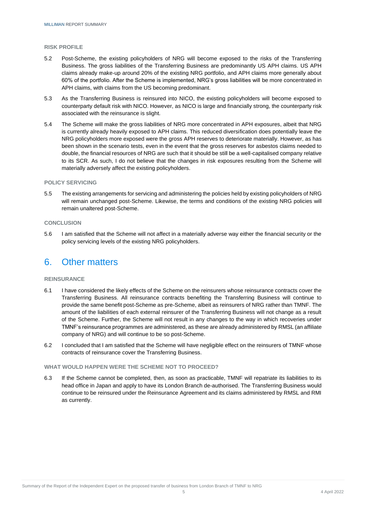#### **RISK PROFILE**

- 5.2 Post-Scheme, the existing policyholders of NRG will become exposed to the risks of the Transferring Business. The gross liabilities of the Transferring Business are predominantly US APH claims. US APH claims already make-up around 20% of the existing NRG portfolio, and APH claims more generally about 60% of the portfolio. After the Scheme is implemented, NRG's gross liabilities will be more concentrated in APH claims, with claims from the US becoming predominant.
- 5.3 As the Transferring Business is reinsured into NICO, the existing policyholders will become exposed to counterparty default risk with NICO. However, as NICO is large and financially strong, the counterparty risk associated with the reinsurance is slight.
- 5.4 The Scheme will make the gross liabilities of NRG more concentrated in APH exposures, albeit that NRG is currently already heavily exposed to APH claims. This reduced diversification does potentially leave the NRG policyholders more exposed were the gross APH reserves to deteriorate materially. However, as has been shown in the scenario tests, even in the event that the gross reserves for asbestos claims needed to double, the financial resources of NRG are such that it should be still be a well-capitalised company relative to its SCR. As such, I do not believe that the changes in risk exposures resulting from the Scheme will materially adversely affect the existing policyholders.

#### **POLICY SERVICING**

5.5 The existing arrangements for servicing and administering the policies held by existing policyholders of NRG will remain unchanged post-Scheme. Likewise, the terms and conditions of the existing NRG policies will remain unaltered post-Scheme.

#### **CONCLUSION**

5.6 I am satisfied that the Scheme will not affect in a materially adverse way either the financial security or the policy servicing levels of the existing NRG policyholders.

## 6. Other matters

#### **REINSURANCE**

- 6.1 I have considered the likely effects of the Scheme on the reinsurers whose reinsurance contracts cover the Transferring Business. All reinsurance contracts benefiting the Transferring Business will continue to provide the same benefit post-Scheme as pre-Scheme, albeit as reinsurers of NRG rather than TMNF. The amount of the liabilities of each external reinsurer of the Transferring Business will not change as a result of the Scheme. Further, the Scheme will not result in any changes to the way in which recoveries under TMNF's reinsurance programmes are administered, as these are already administered by RMSL (an affiliate company of NRG) and will continue to be so post-Scheme.
- 6.2 I concluded that I am satisfied that the Scheme will have negligible effect on the reinsurers of TMNF whose contracts of reinsurance cover the Transferring Business.

#### **WHAT WOULD HAPPEN WERE THE SCHEME NOT TO PROCEED?**

6.3 If the Scheme cannot be completed, then, as soon as practicable, TMNF will repatriate its liabilities to its head office in Japan and apply to have its London Branch de-authorised. The Transferring Business would continue to be reinsured under the Reinsurance Agreement and its claims administered by RMSL and RMI as currently.